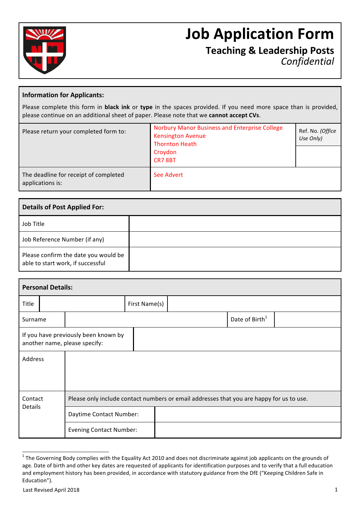

# **Job Application Form**

**Teaching & Leadership Posts** *Confidential*

### **Information for Applicants:**

Please complete this form in **black ink** or type in the spaces provided. If you need more space than is provided, please continue on an additional sheet of paper. Please note that we cannot accept CVs.

| Please return your completed form to:                     | <b>Norbury Manor Business and Enterprise College</b><br><b>Kensington Avenue</b><br><b>Thornton Heath</b><br>Croydon<br>CR78BT | Ref. No. (Office<br>Use Only) |
|-----------------------------------------------------------|--------------------------------------------------------------------------------------------------------------------------------|-------------------------------|
| The deadline for receipt of completed<br>applications is: | See Advert                                                                                                                     |                               |

| <b>Details of Post Applied For:</b>                                       |  |  |  |  |
|---------------------------------------------------------------------------|--|--|--|--|
| Job Title                                                                 |  |  |  |  |
| Job Reference Number (if any)                                             |  |  |  |  |
| Please confirm the date you would be<br>able to start work, if successful |  |  |  |  |

|                                                                       | <b>Personal Details:</b> |                                                                                          |               |  |                            |  |  |
|-----------------------------------------------------------------------|--------------------------|------------------------------------------------------------------------------------------|---------------|--|----------------------------|--|--|
| Title                                                                 |                          |                                                                                          | First Name(s) |  |                            |  |  |
| Surname                                                               |                          |                                                                                          |               |  | Date of Birth <sup>1</sup> |  |  |
| If you have previously been known by<br>another name, please specify: |                          |                                                                                          |               |  |                            |  |  |
| Address                                                               |                          |                                                                                          |               |  |                            |  |  |
|                                                                       |                          |                                                                                          |               |  |                            |  |  |
| Contact                                                               |                          | Please only include contact numbers or email addresses that you are happy for us to use. |               |  |                            |  |  |
| Details                                                               |                          | Daytime Contact Number:                                                                  |               |  |                            |  |  |
| <b>Evening Contact Number:</b>                                        |                          |                                                                                          |               |  |                            |  |  |

 $1$  The Governing Body complies with the Equality Act 2010 and does not discriminate against job applicants on the grounds of age. Date of birth and other key dates are requested of applicants for identification purposes and to verify that a full education and employment history has been provided, in accordance with statutory guidance from the DfE ("Keeping Children Safe in Education").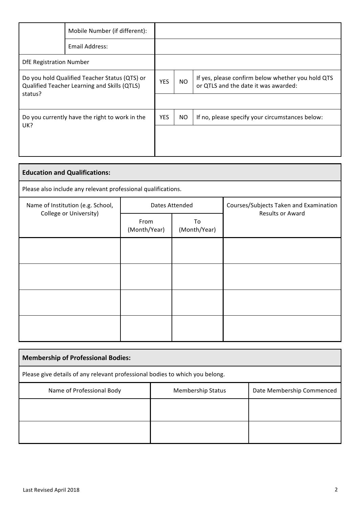|                                                                                               | Mobile Number (if different): |            |           |                                                                                           |
|-----------------------------------------------------------------------------------------------|-------------------------------|------------|-----------|-------------------------------------------------------------------------------------------|
|                                                                                               | Email Address:                |            |           |                                                                                           |
| <b>DfE Registration Number</b>                                                                |                               |            |           |                                                                                           |
| Do you hold Qualified Teacher Status (QTS) or<br>Qualified Teacher Learning and Skills (QTLS) |                               | YES        | <b>NO</b> | If yes, please confirm below whether you hold QTS<br>or QTLS and the date it was awarded: |
| status?                                                                                       |                               |            |           |                                                                                           |
| Do you currently have the right to work in the                                                |                               | <b>YES</b> | NO.       | If no, please specify your circumstances below:                                           |
| UK?                                                                                           |                               |            |           |                                                                                           |
|                                                                                               |                               |            |           |                                                                                           |

| <b>Education and Qualifications:</b>                          |                      |                    |                                        |  |
|---------------------------------------------------------------|----------------------|--------------------|----------------------------------------|--|
| Please also include any relevant professional qualifications. |                      |                    |                                        |  |
| Name of Institution (e.g. School,                             |                      | Dates Attended     | Courses/Subjects Taken and Examination |  |
| College or University)                                        | From<br>(Month/Year) | To<br>(Month/Year) | <b>Results or Award</b>                |  |
|                                                               |                      |                    |                                        |  |
|                                                               |                      |                    |                                        |  |
|                                                               |                      |                    |                                        |  |
|                                                               |                      |                    |                                        |  |

| <b>Membership of Professional Bodies:</b>                                          |  |  |  |  |
|------------------------------------------------------------------------------------|--|--|--|--|
| Please give details of any relevant professional bodies to which you belong.       |  |  |  |  |
| Name of Professional Body<br>Date Membership Commenced<br><b>Membership Status</b> |  |  |  |  |
|                                                                                    |  |  |  |  |
|                                                                                    |  |  |  |  |

Ţ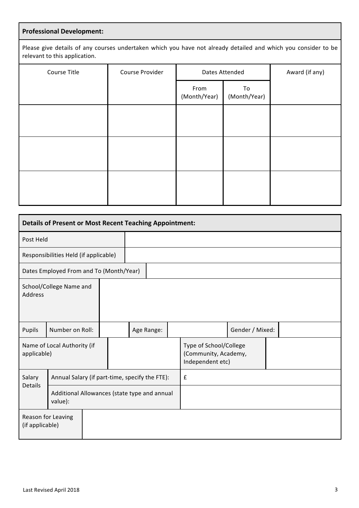# **Professional Development:**

Please give details of any courses undertaken which you have not already detailed and which you consider to be relevant to this application.

| Course Title | Course Provider | Dates Attended       |                    | Award (if any) |
|--------------|-----------------|----------------------|--------------------|----------------|
|              |                 | From<br>(Month/Year) | To<br>(Month/Year) |                |
|              |                 |                      |                    |                |
|              |                 |                      |                    |                |
|              |                 |                      |                    |                |

| <b>Details of Present or Most Recent Teaching Appointment:</b> |                                                |  |            |  |                                                                    |                 |  |
|----------------------------------------------------------------|------------------------------------------------|--|------------|--|--------------------------------------------------------------------|-----------------|--|
| Post Held                                                      |                                                |  |            |  |                                                                    |                 |  |
|                                                                | Responsibilities Held (if applicable)          |  |            |  |                                                                    |                 |  |
|                                                                | Dates Employed From and To (Month/Year)        |  |            |  |                                                                    |                 |  |
| School/College Name and<br>Address                             |                                                |  |            |  |                                                                    |                 |  |
| Pupils                                                         | Number on Roll:                                |  | Age Range: |  |                                                                    | Gender / Mixed: |  |
| Name of Local Authority (if<br>applicable)                     |                                                |  |            |  | Type of School/College<br>(Community, Academy,<br>Independent etc) |                 |  |
| Salary<br><b>Details</b>                                       | Annual Salary (if part-time, specify the FTE): |  |            |  | $\pmb{\mathsf{f}}$                                                 |                 |  |
| Additional Allowances (state type and annual<br>value):        |                                                |  |            |  |                                                                    |                 |  |
| Reason for Leaving<br>(if applicable)                          |                                                |  |            |  |                                                                    |                 |  |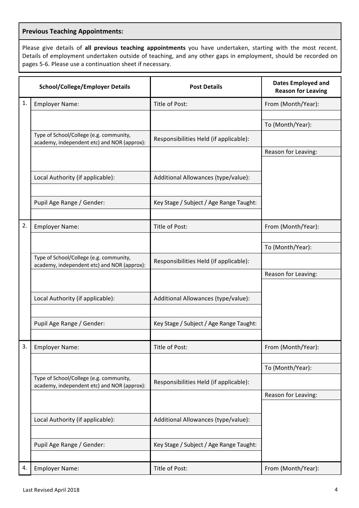# **Previous Teaching Appointments:**

Please give details of all previous teaching appointments you have undertaken, starting with the most recent. Details of employment undertaken outside of teaching, and any other gaps in employment, should be recorded on pages 5-6. Please use a continuation sheet if necessary.

|    | <b>School/College/Employer Details</b>                                                 | <b>Post Details</b>                     | <b>Dates Employed and</b><br><b>Reason for Leaving</b> |
|----|----------------------------------------------------------------------------------------|-----------------------------------------|--------------------------------------------------------|
| 1. | <b>Employer Name:</b>                                                                  | Title of Post:                          | From (Month/Year):                                     |
|    |                                                                                        |                                         |                                                        |
|    |                                                                                        |                                         | To (Month/Year):                                       |
|    | Type of School/College (e.g. community,<br>academy, independent etc) and NOR (approx): | Responsibilities Held (if applicable):  |                                                        |
|    |                                                                                        |                                         | Reason for Leaving:                                    |
|    |                                                                                        |                                         |                                                        |
|    | Local Authority (if applicable):                                                       | Additional Allowances (type/value):     |                                                        |
|    |                                                                                        |                                         |                                                        |
|    | Pupil Age Range / Gender:                                                              | Key Stage / Subject / Age Range Taught: |                                                        |
|    |                                                                                        |                                         |                                                        |
| 2. | <b>Employer Name:</b>                                                                  | Title of Post:                          | From (Month/Year):                                     |
|    |                                                                                        |                                         |                                                        |
|    | Type of School/College (e.g. community,                                                |                                         | To (Month/Year):                                       |
|    | academy, independent etc) and NOR (approx):                                            | Responsibilities Held (if applicable):  |                                                        |
|    |                                                                                        |                                         | Reason for Leaving:                                    |
|    |                                                                                        |                                         |                                                        |
|    | Local Authority (if applicable):                                                       | Additional Allowances (type/value):     |                                                        |
|    |                                                                                        |                                         |                                                        |
|    | Pupil Age Range / Gender:                                                              | Key Stage / Subject / Age Range Taught: |                                                        |
|    |                                                                                        |                                         |                                                        |
| 3. | <b>Employer Name:</b>                                                                  | Title of Post:                          | From (Month/Year):                                     |
|    |                                                                                        |                                         |                                                        |
|    |                                                                                        |                                         | To (Month/Year):                                       |
|    | Type of School/College (e.g. community,<br>academy, independent etc) and NOR (approx): | Responsibilities Held (if applicable):  |                                                        |
|    |                                                                                        |                                         | Reason for Leaving:                                    |
|    |                                                                                        |                                         |                                                        |
|    | Local Authority (if applicable):                                                       | Additional Allowances (type/value):     |                                                        |
|    |                                                                                        |                                         |                                                        |
|    | Pupil Age Range / Gender:                                                              | Key Stage / Subject / Age Range Taught: |                                                        |
|    |                                                                                        |                                         |                                                        |
| 4. | <b>Employer Name:</b>                                                                  | Title of Post:                          | From (Month/Year):                                     |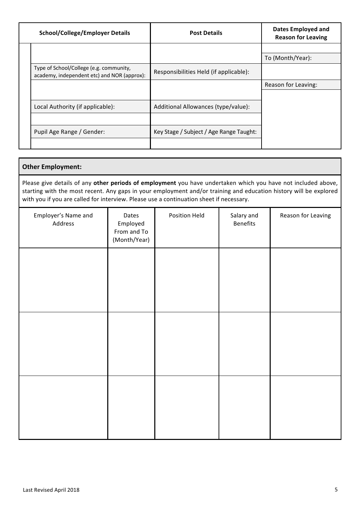| <b>School/College/Employer Details</b>                                                 | <b>Post Details</b>                     | <b>Dates Employed and</b><br><b>Reason for Leaving</b> |
|----------------------------------------------------------------------------------------|-----------------------------------------|--------------------------------------------------------|
|                                                                                        |                                         |                                                        |
|                                                                                        |                                         | To (Month/Year):                                       |
| Type of School/College (e.g. community,<br>academy, independent etc) and NOR (approx): | Responsibilities Held (if applicable):  |                                                        |
|                                                                                        |                                         | Reason for Leaving:                                    |
|                                                                                        |                                         |                                                        |
| Local Authority (if applicable):                                                       | Additional Allowances (type/value):     |                                                        |
|                                                                                        |                                         |                                                        |
| Pupil Age Range / Gender:                                                              | Key Stage / Subject / Age Range Taught: |                                                        |
|                                                                                        |                                         |                                                        |

# **Other Employment:**

Please give details of any other periods of employment you have undertaken which you have not included above, starting with the most recent. Any gaps in your employment and/or training and education history will be explored with you if you are called for interview. Please use a continuation sheet if necessary.

| Employer's Name and<br>Address | Dates<br>Employed<br>From and To<br>(Month/Year) | Position Held | Salary and<br>Benefits | Reason for Leaving |
|--------------------------------|--------------------------------------------------|---------------|------------------------|--------------------|
|                                |                                                  |               |                        |                    |
|                                |                                                  |               |                        |                    |
|                                |                                                  |               |                        |                    |
|                                |                                                  |               |                        |                    |
|                                |                                                  |               |                        |                    |
|                                |                                                  |               |                        |                    |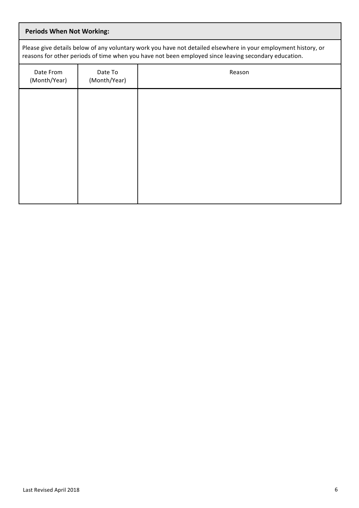| <b>Periods When Not Working:</b> |                                                                                                                                                                                                                        |        |  |  |  |  |
|----------------------------------|------------------------------------------------------------------------------------------------------------------------------------------------------------------------------------------------------------------------|--------|--|--|--|--|
|                                  | Please give details below of any voluntary work you have not detailed elsewhere in your employment history, or<br>reasons for other periods of time when you have not been employed since leaving secondary education. |        |  |  |  |  |
| Date From<br>(Month/Year)        | Date To<br>(Month/Year)                                                                                                                                                                                                | Reason |  |  |  |  |
|                                  |                                                                                                                                                                                                                        |        |  |  |  |  |
|                                  |                                                                                                                                                                                                                        |        |  |  |  |  |
|                                  |                                                                                                                                                                                                                        |        |  |  |  |  |
|                                  |                                                                                                                                                                                                                        |        |  |  |  |  |
|                                  |                                                                                                                                                                                                                        |        |  |  |  |  |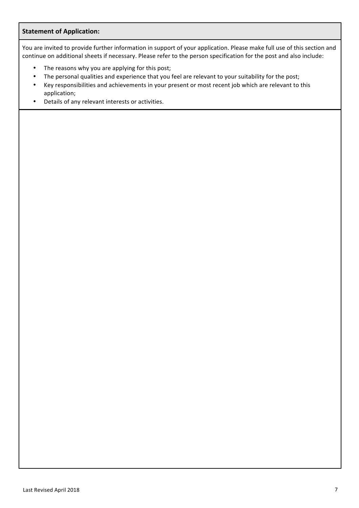## **Statement of Application:**

You are invited to provide further information in support of your application. Please make full use of this section and continue on additional sheets if necessary. Please refer to the person specification for the post and also include:

- The reasons why you are applying for this post;
- The personal qualities and experience that you feel are relevant to your suitability for the post;
- Key responsibilities and achievements in your present or most recent job which are relevant to this application;
- Details of any relevant interests or activities.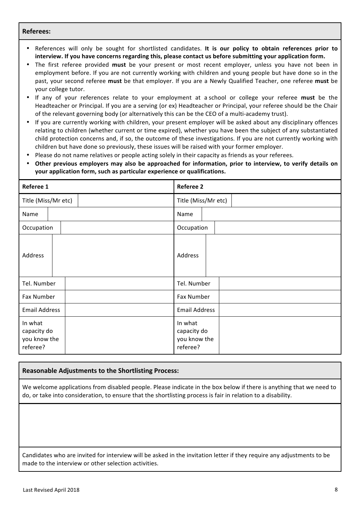#### **Referees:**

- References will only be sought for shortlisted candidates. It is our policy to obtain references prior to interview. If you have concerns regarding this, please contact us before submitting your application form.
- The first referee provided must be your present or most recent employer, unless you have not been in employment before. If you are not currently working with children and young people but have done so in the past, your second referee must be that employer. If you are a Newly Qualified Teacher, one referee must be your college tutor.
- If any of your references relate to your employment at a school or college your referee **must** be the Headteacher or Principal. If you are a serving (or ex) Headteacher or Principal, your referee should be the Chair of the relevant governing body (or alternatively this can be the CEO of a multi-academy trust).
- If you are currently working with children, your present employer will be asked about any disciplinary offences relating to children (whether current or time expired), whether you have been the subject of any substantiated child protection concerns and, if so, the outcome of these investigations. If you are not currently working with children but have done so previously, these issues will be raised with your former employer.
- Please do not name relatives or people acting solely in their capacity as friends as your referees.
- Other previous employers may also be approached for information, prior to interview, to verify details on **your application form, such as particular experience or qualifications.**

| Referee 1                                          | <b>Referee 2</b>                                   |
|----------------------------------------------------|----------------------------------------------------|
| Title (Miss/Mr etc)                                | Title (Miss/Mr etc)                                |
| Name                                               | Name                                               |
| Occupation                                         | Occupation                                         |
| Address                                            | Address                                            |
| Tel. Number                                        | Tel. Number                                        |
| Fax Number                                         | Fax Number                                         |
| <b>Email Address</b>                               | <b>Email Address</b>                               |
| In what<br>capacity do<br>you know the<br>referee? | In what<br>capacity do<br>you know the<br>referee? |

#### **Reasonable Adjustments to the Shortlisting Process:**

We welcome applications from disabled people. Please indicate in the box below if there is anything that we need to do, or take into consideration, to ensure that the shortlisting process is fair in relation to a disability.

Candidates who are invited for interview will be asked in the invitation letter if they require any adjustments to be made to the interview or other selection activities.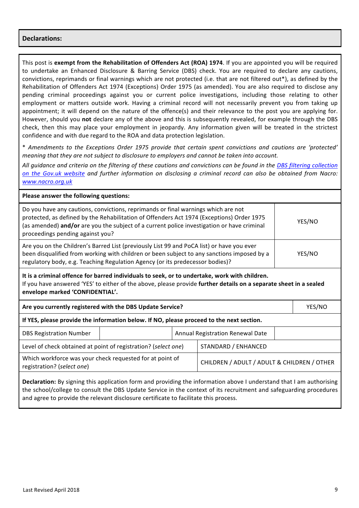#### **Declarations:**

This post is **exempt from the Rehabilitation of Offenders Act (ROA) 1974. If you are appointed you will be required** to undertake an Enhanced Disclosure & Barring Service (DBS) check. You are required to declare any cautions, convictions, reprimands or final warnings which are not protected (i.e. that are not filtered out\*), as defined by the Rehabilitation of Offenders Act 1974 (Exceptions) Order 1975 (as amended). You are also required to disclose any pending criminal proceedings against you or current police investigations, including those relating to other employment or matters outside work. Having a criminal record will not necessarily prevent you from taking up appointment; it will depend on the nature of the offence(s) and their relevance to the post you are applying for. However, should you not declare any of the above and this is subsequently revealed, for example through the DBS check, then this may place your employment in jeopardy. Any information given will be treated in the strictest confidence and with due regard to the ROA and data protection legislation.

\* *Amendments to the Exceptions Order 1975 provide that certain spent convictions and cautions are 'protected' meaning that they are not subject to disclosure to employers and cannot be taken into account.* 

All quidance and criteria on the filtering of these cautions and convictions can be found in the DBS filtering collection on the Gov.uk website and further information on disclosing a criminal record can also be obtained from Nacro: *www.nacro.org.uk*

| Please answer the following questions:                                                                                                                                                                                                                                                                           |                                                                                       |                                             |        |
|------------------------------------------------------------------------------------------------------------------------------------------------------------------------------------------------------------------------------------------------------------------------------------------------------------------|---------------------------------------------------------------------------------------|---------------------------------------------|--------|
| Do you have any cautions, convictions, reprimands or final warnings which are not<br>protected, as defined by the Rehabilitation of Offenders Act 1974 (Exceptions) Order 1975<br>(as amended) and/or are you the subject of a current police investigation or have criminal<br>proceedings pending against you? |                                                                                       |                                             | YES/NO |
| Are you on the Children's Barred List (previously List 99 and PoCA list) or have you ever<br>been disqualified from working with children or been subject to any sanctions imposed by a<br>YES/NO<br>regulatory body, e.g. Teaching Regulation Agency (or its predecessor bodies)?                               |                                                                                       |                                             |        |
| It is a criminal offence for barred individuals to seek, or to undertake, work with children.<br>If you have answered 'YES' to either of the above, please provide further details on a separate sheet in a sealed<br>envelope marked 'CONFIDENTIAL'.                                                            |                                                                                       |                                             |        |
| Are you currently registered with the DBS Update Service?                                                                                                                                                                                                                                                        |                                                                                       |                                             | YES/NO |
| If YES, please provide the information below. If NO, please proceed to the next section.                                                                                                                                                                                                                         |                                                                                       |                                             |        |
| <b>DBS Registration Number</b>                                                                                                                                                                                                                                                                                   |                                                                                       | <b>Annual Registration Renewal Date</b>     |        |
|                                                                                                                                                                                                                                                                                                                  | Level of check obtained at point of registration? (select one)<br>STANDARD / ENHANCED |                                             |        |
| Which workforce was your check requested for at point of<br>registration? (select one)                                                                                                                                                                                                                           |                                                                                       | CHILDREN / ADULT / ADULT & CHILDREN / OTHER |        |
|                                                                                                                                                                                                                                                                                                                  |                                                                                       |                                             |        |

**Declaration:** By signing this application form and providing the information above I understand that I am authorising the school/college to consult the DBS Update Service in the context of its recruitment and safeguarding procedures and agree to provide the relevant disclosure certificate to facilitate this process.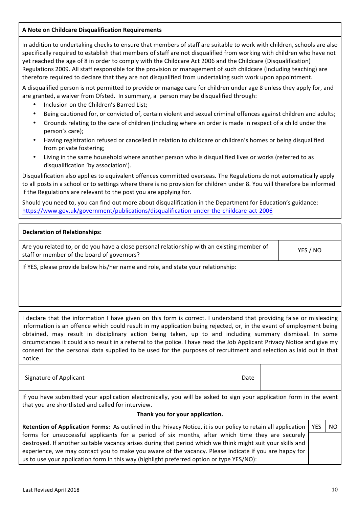#### **A Note on Childcare Disqualification Requirements**

In addition to undertaking checks to ensure that members of staff are suitable to work with children, schools are also specifically required to establish that members of staff are not disqualified from working with children who have not yet reached the age of 8 in order to comply with the Childcare Act 2006 and the Childcare (Disqualification) Regulations 2009. All staff responsible for the provision or management of such childcare (including teaching) are therefore required to declare that they are not disqualified from undertaking such work upon appointment.

A disqualified person is not permitted to provide or manage care for children under age 8 unless they apply for, and are granted, a waiver from Ofsted. In summary, a person may be disqualified through:

- Inclusion on the Children's Barred List;
- Being cautioned for, or convicted of, certain violent and sexual criminal offences against children and adults;
- Grounds relating to the care of children (including where an order is made in respect of a child under the person's care);
- Having registration refused or cancelled in relation to childcare or children's homes or being disqualified from private fostering;
- Living in the same household where another person who is disqualified lives or works (referred to as disqualification 'by association').

Disqualification also applies to equivalent offences committed overseas. The Regulations do not automatically apply to all posts in a school or to settings where there is no provision for children under 8. You will therefore be informed if the Regulations are relevant to the post you are applying for.

Should you need to, you can find out more about disqualification in the Department for Education's guidance: https://www.gov.uk/government/publications/disqualification-under-the-childcare-act-2006

| Declaration of Relationships:                                                                                                             |          |
|-------------------------------------------------------------------------------------------------------------------------------------------|----------|
| Are you related to, or do you have a close personal relationship with an existing member of<br>staff or member of the board of governors? | YES / NO |
|                                                                                                                                           |          |

If YES, please provide below his/her name and role, and state your relationship:

I declare that the information I have given on this form is correct. I understand that providing false or misleading information is an offence which could result in my application being rejected, or, in the event of employment being obtained, may result in disciplinary action being taken, up to and including summary dismissal. In some circumstances it could also result in a referral to the police. I have read the Job Applicant Privacy Notice and give my consent for the personal data supplied to be used for the purposes of recruitment and selection as laid out in that notice.

| Signature of Applicant | Date |  |
|------------------------|------|--|
|------------------------|------|--|

If you have submitted your application electronically, you will be asked to sign your application form in the event that you are shortlisted and called for interview.

#### **Thank you for your application.**

| Retention of Application Forms: As outlined in the Privacy Notice, it is our policy to retain all application   YES | N <sub>C</sub> |
|---------------------------------------------------------------------------------------------------------------------|----------------|
| forms for unsuccessful applicants for a period of six months, after which time they are securely                    |                |
| destroyed. If another suitable vacancy arises during that period which we think might suit your skills and          |                |
| experience, we may contact you to make you aware of the vacancy. Please indicate if you are happy for               |                |
| us to use your application form in this way (highlight preferred option or type YES/NO):                            |                |